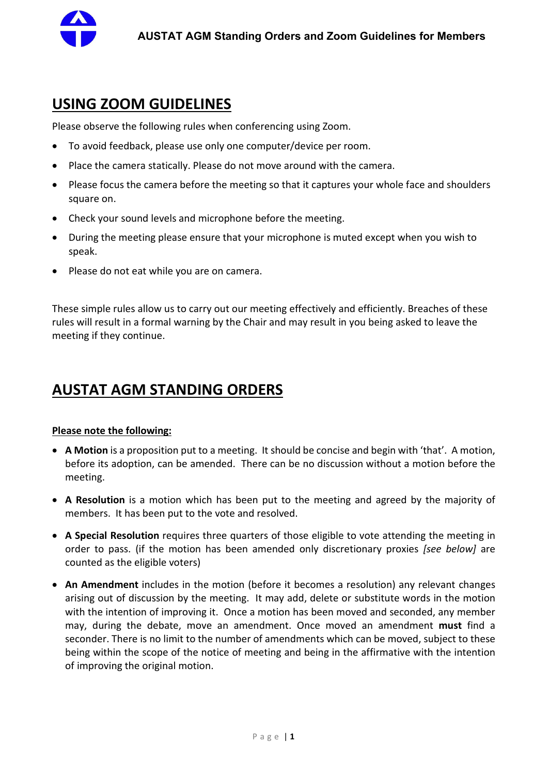

## USING ZOOM GUIDELINES

Please observe the following rules when conferencing using Zoom.

- To avoid feedback, please use only one computer/device per room.
- Place the camera statically. Please do not move around with the camera.
- Please focus the camera before the meeting so that it captures your whole face and shoulders square on.
- Check your sound levels and microphone before the meeting.
- During the meeting please ensure that your microphone is muted except when you wish to speak.
- Please do not eat while you are on camera.

These simple rules allow us to carry out our meeting effectively and efficiently. Breaches of these rules will result in a formal warning by the Chair and may result in you being asked to leave the meeting if they continue.

# AUSTAT AGM STANDING ORDERS

### Please note the following:

- A Motion is a proposition put to a meeting. It should be concise and begin with 'that'. A motion, before its adoption, can be amended. There can be no discussion without a motion before the meeting.
- A Resolution is a motion which has been put to the meeting and agreed by the majority of members. It has been put to the vote and resolved.
- A Special Resolution requires three quarters of those eligible to vote attending the meeting in order to pass. (if the motion has been amended only discretionary proxies [see below] are counted as the eligible voters)
- An Amendment includes in the motion (before it becomes a resolution) any relevant changes arising out of discussion by the meeting. It may add, delete or substitute words in the motion with the intention of improving it. Once a motion has been moved and seconded, any member may, during the debate, move an amendment. Once moved an amendment must find a seconder. There is no limit to the number of amendments which can be moved, subject to these being within the scope of the notice of meeting and being in the affirmative with the intention of improving the original motion.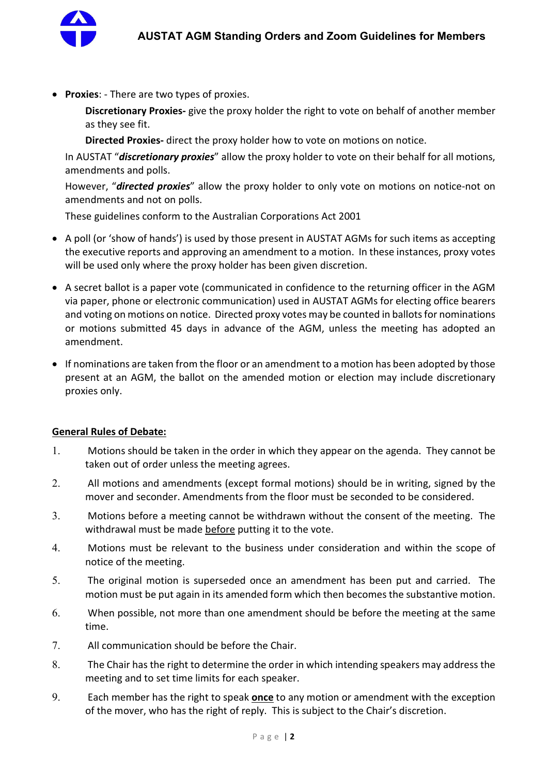

• Proxies: - There are two types of proxies.

Discretionary Proxies- give the proxy holder the right to vote on behalf of another member as they see fit.

Directed Proxies- direct the proxy holder how to vote on motions on notice.

In AUSTAT "*discretionary proxies*" allow the proxy holder to vote on their behalf for all motions, amendments and polls.

However, "**directed proxies**" allow the proxy holder to only vote on motions on notice-not on amendments and not on polls.

These guidelines conform to the Australian Corporations Act 2001

- A poll (or 'show of hands') is used by those present in AUSTAT AGMs for such items as accepting the executive reports and approving an amendment to a motion. In these instances, proxy votes will be used only where the proxy holder has been given discretion.
- A secret ballot is a paper vote (communicated in confidence to the returning officer in the AGM via paper, phone or electronic communication) used in AUSTAT AGMs for electing office bearers and voting on motions on notice. Directed proxy votes may be counted in ballots for nominations or motions submitted 45 days in advance of the AGM, unless the meeting has adopted an amendment.
- If nominations are taken from the floor or an amendment to a motion has been adopted by those present at an AGM, the ballot on the amended motion or election may include discretionary proxies only.

#### General Rules of Debate:

- 1. Motions should be taken in the order in which they appear on the agenda. They cannot be taken out of order unless the meeting agrees.
- 2. All motions and amendments (except formal motions) should be in writing, signed by the mover and seconder. Amendments from the floor must be seconded to be considered.
- 3. Motions before a meeting cannot be withdrawn without the consent of the meeting. The withdrawal must be made before putting it to the vote.
- 4. Motions must be relevant to the business under consideration and within the scope of notice of the meeting.
- 5. The original motion is superseded once an amendment has been put and carried. The motion must be put again in its amended form which then becomes the substantive motion.
- 6. When possible, not more than one amendment should be before the meeting at the same time.
- 7. All communication should be before the Chair.
- 8. The Chair has the right to determine the order in which intending speakers may address the meeting and to set time limits for each speaker.
- 9. Each member has the right to speak once to any motion or amendment with the exception of the mover, who has the right of reply. This is subject to the Chair's discretion.